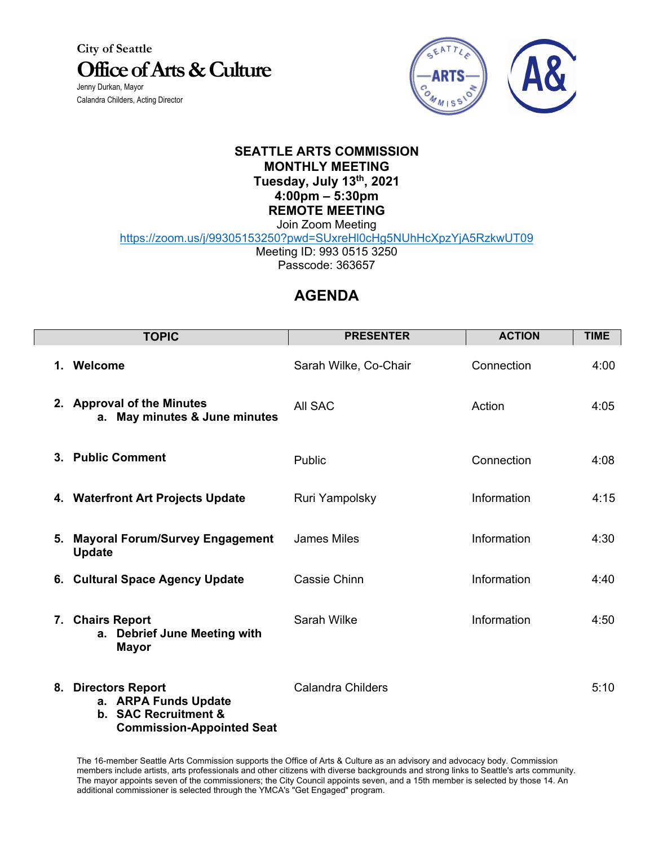**City of Seattle Office of Arts & Culture** Jenny Durkan, Mayor

Calandra Childers, Acting Director



## **SEATTLE ARTS COMMISSION MONTHLY MEETING Tuesday, July 13th, 2021 4:00pm – 5:30pm REMOTE MEETING**

Join Zoom Meeting

https://zoom.us/j/99305153250?pwd=SUxreHl0cHg5NUhHcXpzYjA5RzkwUT09

Meeting ID: 993 0515 3250

Passcode: 363657

## **AGENDA**

|    | <b>TOPIC</b>                                                                                            | <b>PRESENTER</b>         | <b>ACTION</b> | <b>TIME</b> |
|----|---------------------------------------------------------------------------------------------------------|--------------------------|---------------|-------------|
| 1. | Welcome                                                                                                 | Sarah Wilke, Co-Chair    | Connection    | 4:00        |
|    | 2. Approval of the Minutes<br>a. May minutes & June minutes                                             | All SAC                  | Action        | 4:05        |
|    | 3. Public Comment                                                                                       | Public                   | Connection    | 4:08        |
|    | 4. Waterfront Art Projects Update                                                                       | Ruri Yampolsky           | Information   | 4:15        |
| 5. | <b>Mayoral Forum/Survey Engagement</b><br><b>Update</b>                                                 | <b>James Miles</b>       | Information   | 4:30        |
|    | 6. Cultural Space Agency Update                                                                         | Cassie Chinn             | Information   | 4:40        |
|    | 7. Chairs Report<br>a. Debrief June Meeting with<br><b>Mayor</b>                                        | Sarah Wilke              | Information   | 4:50        |
|    | 8. Directors Report<br>a. ARPA Funds Update<br>b. SAC Recruitment &<br><b>Commission-Appointed Seat</b> | <b>Calandra Childers</b> |               | 5:10        |

The 16-member Seattle Arts Commission supports the Office of Arts & Culture as an advisory and advocacy body. Commission members include artists, arts professionals and other citizens with diverse backgrounds and strong links to Seattle's arts community. The mayor appoints seven of the commissioners; the City Council appoints seven, and a 15th member is selected by those 14. An additional commissioner is selected through the YMCA's "Get Engaged" program.